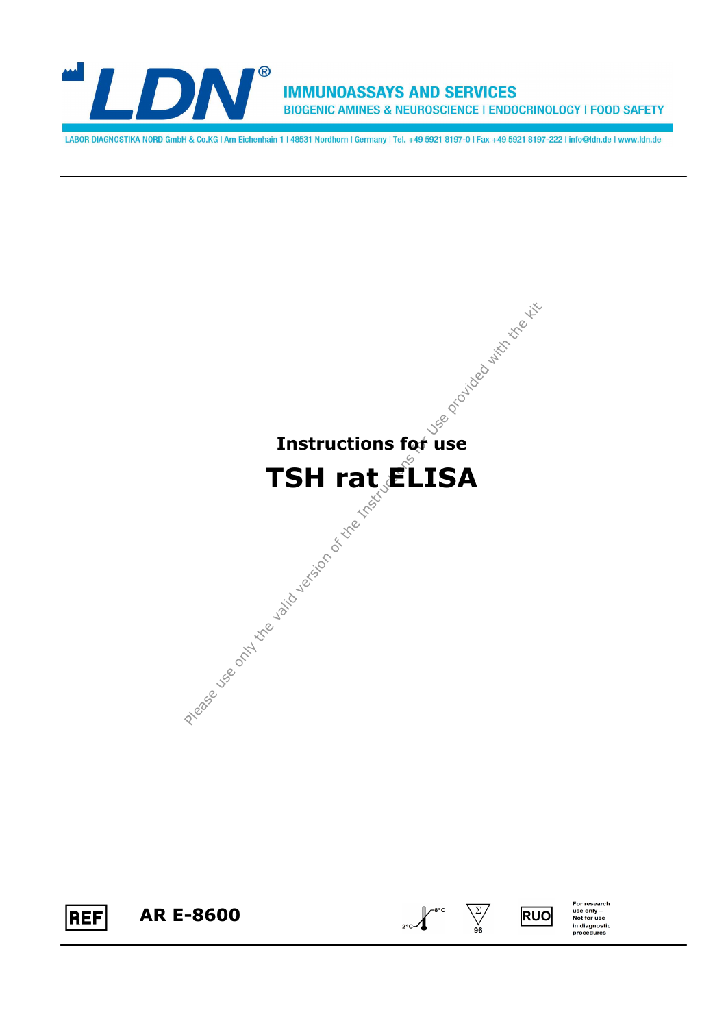

**IMMUNOASSAYS AND SERVICES** BIOGENIC AMINES & NEUROSCIENCE | ENDOCRINOLOGY | FOOD SAFETY

LABOR DIAGNOSTIKA NORD GmbH & Co.KG | Am Eichenhain 1 | 48531 Nordhorn | Germany | Tel. +49 5921 8197-0 | Fax +49 5921 8197-222 | info@ldn.de | www.ldn.de









 $\frac{\sum x}{\sum x}}$ 

For research<br>use only –<br>Not for use<br>in diagnostic<br>procedures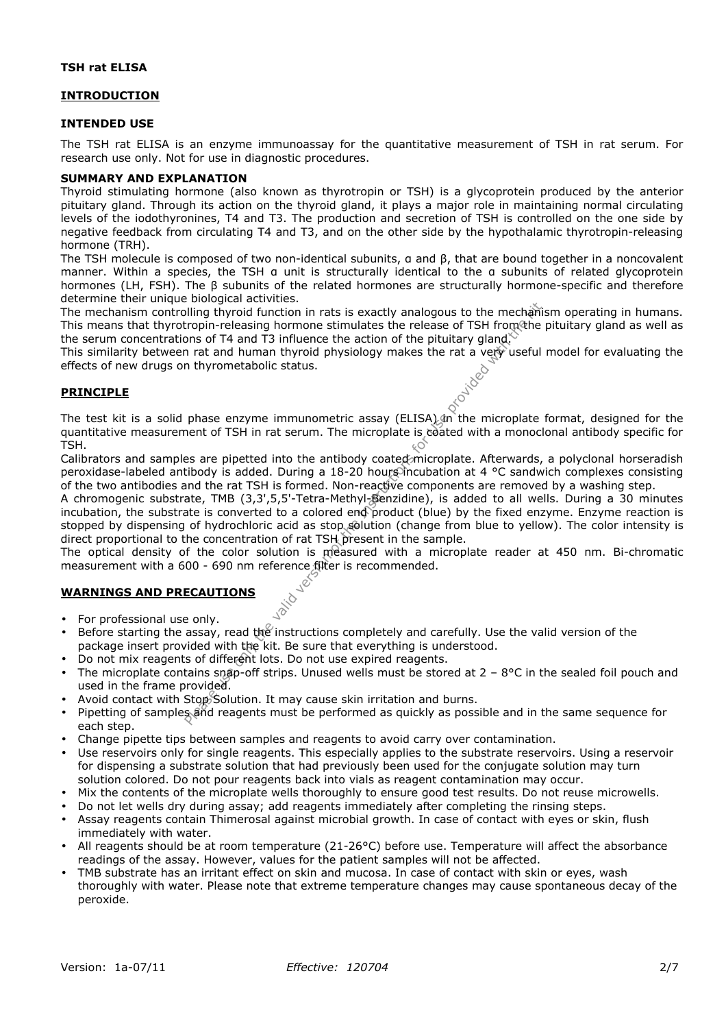## **TSH rat ELISA**

## **INTRODUCTION**

#### **INTENDED USE**

The TSH rat ELISA is an enzyme immunoassay for the quantitative measurement of TSH in rat serum. For research use only. Not for use in diagnostic procedures.

#### **SUMMARY AND EXPLANATION**

Thyroid stimulating hormone (also known as thyrotropin or TSH) is a glycoprotein produced by the anterior pituitary gland. Through its action on the thyroid gland, it plays a major role in maintaining normal circulating levels of the iodothyronines, T4 and T3. The production and secretion of TSH is controlled on the one side by negative feedback from circulating T4 and T3, and on the other side by the hypothalamic thyrotropin-releasing hormone (TRH).

The TSH molecule is composed of two non-identical subunits, α and β, that are bound together in a noncovalent manner. Within a species, the TSH α unit is structurally identical to the α subunits of related glycoprotein hormones (LH, FSH). The β subunits of the related hormones are structurally hormone-specific and therefore determine their unique biological activities.

The mechanism controlling thyroid function in rats is exactly analogous to the mechanism operating in humans. This means that thyrotropin-releasing hormone stimulates the release of TSH from the pituitary gland as well as the serum concentrations of T4 and T3 influence the action of the pituitary gland.

This similarity between rat and human thyroid physiology makes the rat a very useful model for evaluating the effects of new drugs on thyrometabolic status.<br> **PRINCIPLE** effects of new drugs on thyrometabolic status.

## **PRINCIPLE**

The test kit is a solid phase enzyme immunometric assay (ELISA) an the microplate format, designed for the quantitative measurement of TSH in rat serum. The microplate is coated with a monoclonal antibody specific for TSH.

Calibrators and samples are pipetted into the antibody coated microplate. Afterwards, a polyclonal horseradish peroxidase-labeled antibody is added. During a 18-20 hours incubation at 4 °C sandwich complexes consisting of the two antibodies and the rat TSH is formed. Non-reactive components are removed by a washing step.

Plurease use only the method in in the section of the mechanism on of T4 and T3 influence the mation of the picturery dangles and the mation on the picturery dangles in the valid version of T4 and T3 influence the action A chromogenic substrate, TMB (3,3',5,5'-Tetra-Methyl-Benzidine), is added to all wells. During a 30 minutes incubation, the substrate is converted to a colored end product (blue) by the fixed enzyme. Enzyme reaction is stopped by dispensing of hydrochloric acid as stop solution (change from blue to yellow). The color intensity is direct proportional to the concentration of rat TSH present in the sample.

The optical density of the color solution is measured with a microplate reader at 450 nm. Bi-chromatic measurement with a 600 - 690 nm reference filter is recommended.

## **WARNINGS AND PRECAUTIONS**

- For professional use only.
- Before starting the assay, read the instructions completely and carefully. Use the valid version of the package insert provided with the kit. Be sure that everything is understood.
- Do not mix reagents of different lots. Do not use expired reagents.
- The microplate contains snap-off strips. Unused wells must be stored at  $2 8$ °C in the sealed foil pouch and used in the frame provided.
- Avoid contact with Stop Solution. It may cause skin irritation and burns.
- Pipetting of samples and reagents must be performed as quickly as possible and in the same sequence for each step.
- Change pipette tips between samples and reagents to avoid carry over contamination.
- Use reservoirs only for single reagents. This especially applies to the substrate reservoirs. Using a reservoir for dispensing a substrate solution that had previously been used for the conjugate solution may turn solution colored. Do not pour reagents back into vials as reagent contamination may occur.
- Mix the contents of the microplate wells thoroughly to ensure good test results. Do not reuse microwells.
- Do not let wells dry during assay; add reagents immediately after completing the rinsing steps.
- Assay reagents contain Thimerosal against microbial growth. In case of contact with eyes or skin, flush immediately with water.
- All reagents should be at room temperature (21-26°C) before use. Temperature will affect the absorbance readings of the assay. However, values for the patient samples will not be affected.
- TMB substrate has an irritant effect on skin and mucosa. In case of contact with skin or eyes, wash thoroughly with water. Please note that extreme temperature changes may cause spontaneous decay of the peroxide.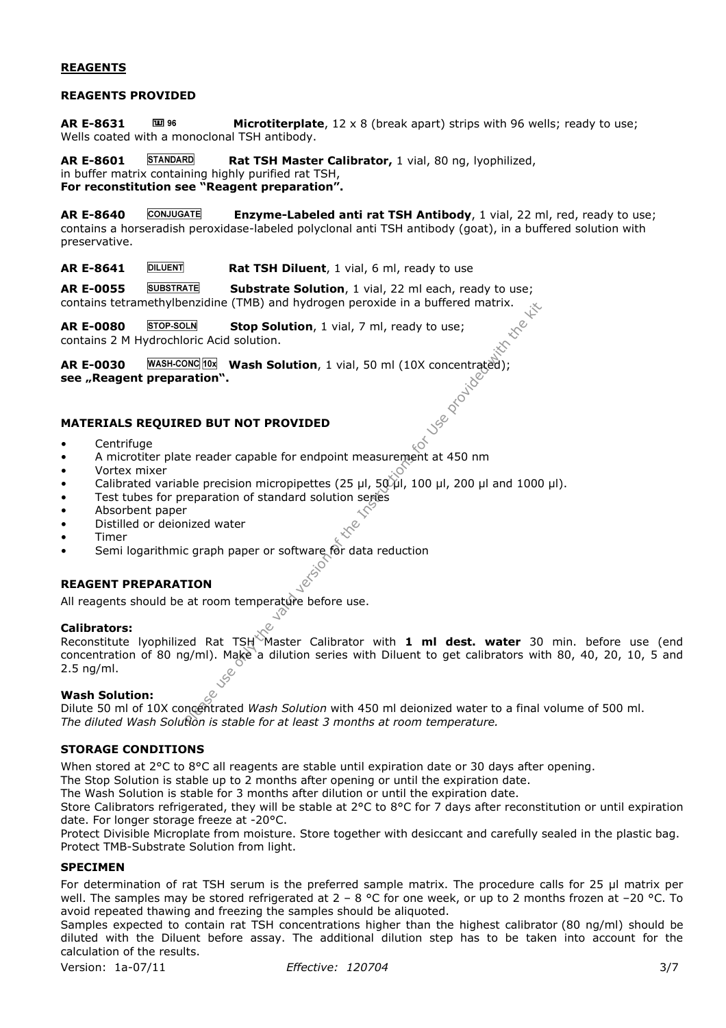# **REAGENTS**

#### **REAGENTS PROVIDED**

AR E-8631 **Microtiterplate**, 12 x 8 (break apart) strips with 96 wells; ready to use; Wells coated with a monoclonal TSH antibody.

**AR E-8601 STANDARD Rat TSH Master Calibrator,** 1 vial, 80 ng, lyophilized, in buffer matrix containing highly purified rat TSH,

**For reconstitution see "Reagent preparation".** 

**AR E-8640 Enzyme-Labeled anti rat TSH Antibody**, 1 vial, 22 ml, red, ready to use; contains a horseradish peroxidase-labeled polyclonal anti TSH antibody (goat), in a buffered solution with preservative.

**AR E-8641 DILUENT Rat TSH Diluent**, 1 vial, 6 ml, ready to use

**AR E-0055 Substrate Solution**, 1 vial, 22 ml each, ready to use; contains tetramethylbenzidine (TMB) and hydrogen peroxide in a buffered matrix.

AR E-0080 STOP-SOLN Stop Solution, 1 vial, 7 ml, ready to use; contains 2 M Hydrochloric Acid solution.

**AR E-0030** WASH-CONC 10x Wash Solution, 1 vial, 50 ml (10X concentrated);<br>
see "Reagent preparation".<br>
MATERIALS REQUIRED BUT NOT see "Reagent preparation".

## **MATERIALS REQUIRED BUT NOT PROVIDED**

- Centrifuge
- A microtiter plate reader capable for endpoint measurement at 450 nm
- Vortex mixer
- Calibrated variable precision micropipettes (25 µl, 50 µl, 100 µl, 200 µl and 1000 µl).
- Test tubes for preparation of standard solution series
- Absorbent paper
- Distilled or deionized water
- Timer
- **Semi logarithmic graph paper or software for data reduction**

# **REAGENT PREPARATION**

All reagents should be at room temperature before use.

## **Calibrators:**

Please use only the valid version of the Valid version of the Valid version of Schotland Wash Solution, 1 vial, 50 ml (10X concentracted);<br>
Plus The Valid Version of the Valid version of the Valid Version of the Valid Ver Reconstitute Ivophilized Rat TSH<sup>X</sup>Master Calibrator with 1 ml dest. water 30 min. before use (end concentration of 80 ng/ml). Make a dilution series with Diluent to get calibrators with 80, 40, 20, 10, 5 and 2.5 ng/ml.

## **Wash Solution:**

Dilute 50 ml of 10X concentrated *Wash Solution* with 450 ml deionized water to a final volume of 500 ml. *The diluted Wash Solution is stable for at least 3 months at room temperature.*

# **STORAGE CONDITIONS**

When stored at 2°C to 8°C all reagents are stable until expiration date or 30 days after opening.

The Stop Solution is stable up to 2 months after opening or until the expiration date.

The Wash Solution is stable for 3 months after dilution or until the expiration date.

Store Calibrators refrigerated, they will be stable at 2°C to 8°C for 7 days after reconstitution or until expiration date. For longer storage freeze at -20°C.

Protect Divisible Microplate from moisture. Store together with desiccant and carefully sealed in the plastic bag. Protect TMB-Substrate Solution from light.

## **SPECIMEN**

For determination of rat TSH serum is the preferred sample matrix. The procedure calls for 25 µl matrix per well. The samples may be stored refrigerated at  $2 - 8$  °C for one week, or up to 2 months frozen at -20 °C. To avoid repeated thawing and freezing the samples should be aliquoted.

Samples expected to contain rat TSH concentrations higher than the highest calibrator (80 ng/ml) should be diluted with the Diluent before assay. The additional dilution step has to be taken into account for the calculation of the results.

Version: 1a-07/11 *Effective: 120704* 3/7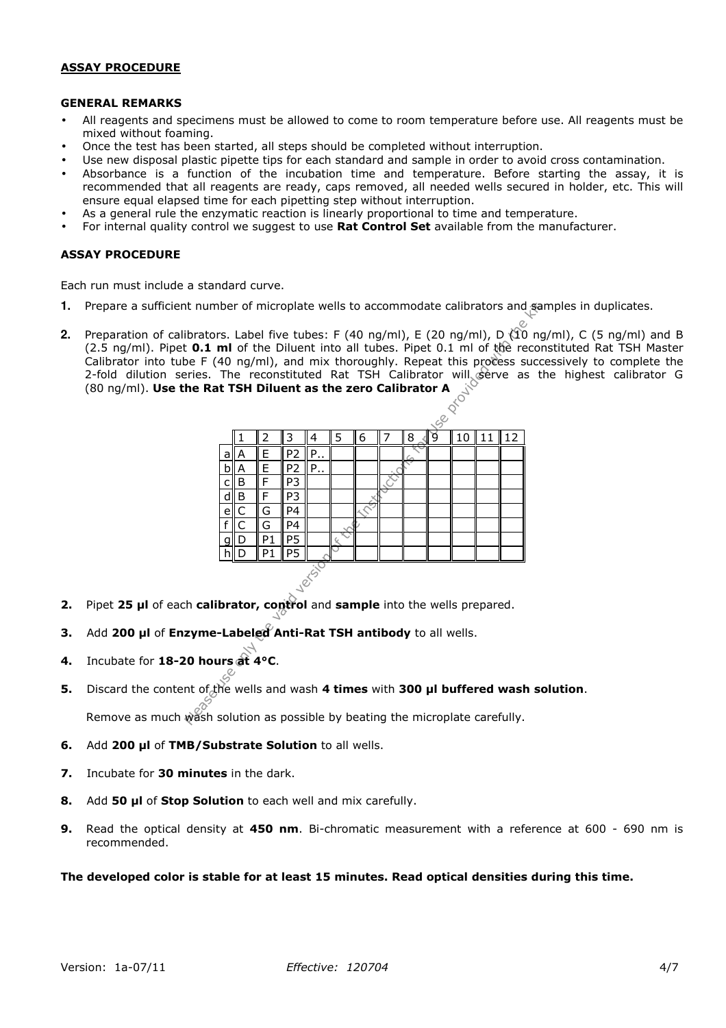### **ASSAY PROCEDURE**

#### **GENERAL REMARKS**

- All reagents and specimens must be allowed to come to room temperature before use. All reagents must be mixed without foaming.
- Once the test has been started, all steps should be completed without interruption.
- Use new disposal plastic pipette tips for each standard and sample in order to avoid cross contamination.
- Absorbance is a function of the incubation time and temperature. Before starting the assay, it is recommended that all reagents are ready, caps removed, all needed wells secured in holder, etc. This will ensure equal elapsed time for each pipetting step without interruption.
- As a general rule the enzymatic reaction is linearly proportional to time and temperature.
- For internal quality control we suggest to use **Rat Control Set** available from the manufacturer.

## **ASSAY PROCEDURE**

Each run must include a standard curve.

- **1.** Prepare a sufficient number of microplate wells to accommodate calibrators and samples in duplicates.
- **2.** Preparation of calibrators. Label five tubes: F (40 ng/ml), E (20 ng/ml), D (10 ng/ml), C (5 ng/ml) and B (2.5 ng/ml). Pipet **0.1 ml** of the Diluent into all tubes. Pipet 0.1 ml of the reconstituted Rat TSH Master Calibrator into tube F (40 ng/ml), and mix thoroughly. Repeat this process successively to complete the 2-fold dilution series. The reconstituted Rat TSH Calibrator will serve as the highest calibrator G (80 ng/ml). **Use the Rat TSH Diluent as the zero Calibrator A**

| it number of microplate wells to accommodate calibrators and sar                                                                                                                                                                                                                                                            |  |  |  |  |  |  |
|-----------------------------------------------------------------------------------------------------------------------------------------------------------------------------------------------------------------------------------------------------------------------------------------------------------------------------|--|--|--|--|--|--|
| ibrators. Label five tubes: F (40 ng/ml), E (20 ng/ml), D ( $\hat{10}$ ng,<br>t 0.1 ml of the Diluent into all tubes. Pipet 0.1 ml of the recon<br>be F (40 ng/ml), and mix thoroughly. Repeat this process succe<br>Pries. The reconstituted Rat TSH Calibrator will gerve as the Rat TSH Diluent as the zero Calibrator A |  |  |  |  |  |  |
|                                                                                                                                                                                                                                                                                                                             |  |  |  |  |  |  |
| nt of <sub>o</sub> the wells and wash 4 times with 300 µl buffered wash so                                                                                                                                                                                                                                                  |  |  |  |  |  |  |
|                                                                                                                                                                                                                                                                                                                             |  |  |  |  |  |  |

- **2.** Pipet **25 µl** of each **calibrator, control** and **sample** into the wells prepared.
- **3.** Add **200 µl** of **Enzyme-Labeled Anti-Rat TSH antibody** to all wells.
- **4.** Incubate for **18-20 hours at 4°C**.
- **5.** Discard the content of the wells and wash **4 times** with **300 µl buffered wash solution**. Remove as much wash solution as possible by beating the microplate carefully.
- **6.** Add **200 µl** of **TMB/Substrate Solution** to all wells.
- **7.** Incubate for **30 minutes** in the dark.
- **8.** Add **50 µl** of **Stop Solution** to each well and mix carefully.
- **9.** Read the optical density at **450 nm**. Bi-chromatic measurement with a reference at 600 690 nm is recommended.

#### **The developed color is stable for at least 15 minutes. Read optical densities during this time.**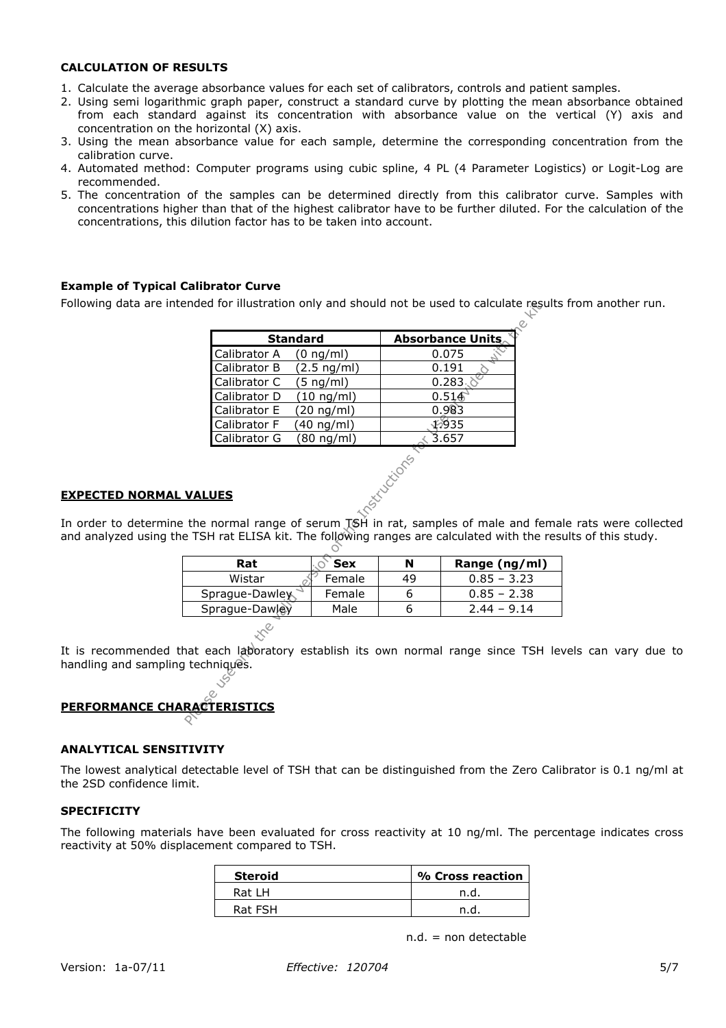## **CALCULATION OF RESULTS**

- 1. Calculate the average absorbance values for each set of calibrators, controls and patient samples.
- 2. Using semi logarithmic graph paper, construct a standard curve by plotting the mean absorbance obtained from each standard against its concentration with absorbance value on the vertical (Y) axis and concentration on the horizontal (X) axis.
- 3. Using the mean absorbance value for each sample, determine the corresponding concentration from the calibration curve.
- 4. Automated method: Computer programs using cubic spline, 4 PL (4 Parameter Logistics) or Logit-Log are recommended.
- 5. The concentration of the samples can be determined directly from this calibrator curve. Samples with concentrations higher than that of the highest calibrator have to be further diluted. For the calculation of the concentrations, this dilution factor has to be taken into account.

# **Example of Typical Calibrator Curve**

Following data are intended for illustration only and should not be used to calculate results from another run.

| <b>Standard</b>                                                                                                                                       |                       |                              | <b>Absorbance Units</b> |
|-------------------------------------------------------------------------------------------------------------------------------------------------------|-----------------------|------------------------------|-------------------------|
| Calibrator A                                                                                                                                          | $(0 \nmid m)$         |                              | 0.075                   |
| Calibrator B                                                                                                                                          | $(2.5 \text{ ng/ml})$ |                              | 0.191                   |
| Calibrator C                                                                                                                                          | $5$ ng/ml)            |                              | 0.283                   |
| Calibrator D                                                                                                                                          | (10 ng/ml)            |                              | 0.514                   |
| Calibrator E                                                                                                                                          | 20 ng/ml)             |                              | 0.983                   |
| Calibrator F                                                                                                                                          | (40 ng/ml)            |                              | \$935                   |
| Calibrator G                                                                                                                                          | (80 ng/ml)            |                              | 3.657                   |
|                                                                                                                                                       |                       |                              |                         |
| <b>VALUES</b><br>the normal range of serum TSH in rat, samples of male and fer<br>e TSH rat ELISA kit. The following ranges are calculated with the r |                       | <b>Indian Critical State</b> |                         |
| Rat                                                                                                                                                   | <b>Sex</b>            | N                            | Range (ng/ml)           |
| Wistar                                                                                                                                                | Female                | 49                           | $0.85 - 3.23$           |
| Sprague-Dawley                                                                                                                                        | Female                | 6                            | $0.85 - 2.38$           |
| Sprague-Dawley                                                                                                                                        | Male                  | 6                            | $2.44 - 9.14$           |

## **EXPECTED NORMAL VALUES**

In order to determine the normal range of serum TSH in rat, samples of male and female rats were collected and analyzed using the TSH rat ELISA kit. The following ranges are calculated with the results of this study.

| Rat            | <b>Sex</b> |    | Range (ng/ml) |
|----------------|------------|----|---------------|
| Wistar         | Female     | 49 | $0.85 - 3.23$ |
| Sprague-Dawley | Female     |    | $0.85 - 2.38$ |
| Sprague-Dawley | Male       |    | $2.44 - 9.14$ |

It is recommended that each laboratory establish its own normal range since TSH levels can vary due to handling and sampling techniques.

# **PERFORMANCE CHARACTERISTICS**

#### **ANALYTICAL SENSITIVITY**

The lowest analytical detectable level of TSH that can be distinguished from the Zero Calibrator is 0.1 ng/ml at the 2SD confidence limit.

## **SPECIFICITY**

The following materials have been evaluated for cross reactivity at 10 ng/ml. The percentage indicates cross reactivity at 50% displacement compared to TSH.

| <b>Steroid</b> | % Cross reaction |
|----------------|------------------|
| Rat I H        | n.d              |
| Rat FSH        | n.d              |

 $n.d.$  = non detectable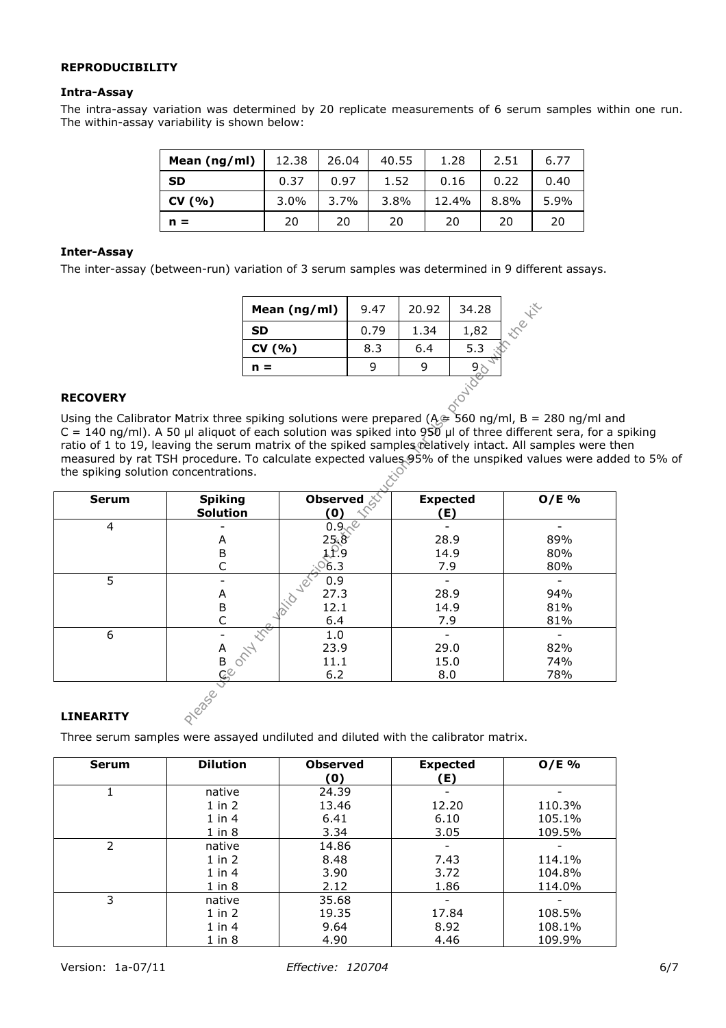# **REPRODUCIBILITY**

## **Intra-Assay**

The intra-assay variation was determined by 20 replicate measurements of 6 serum samples within one run. The within-assay variability is shown below:

| Mean (ng/ml) | 12.38   | 26.04 | 40.55 | 1.28  | 2.51 | 6.77 |
|--------------|---------|-------|-------|-------|------|------|
| <b>SD</b>    | 0.37    | 0.97  | 1.52  | 0.16  | 0.22 | 0.40 |
| CV (%)       | $3.0\%$ | 3.7%  | 3.8%  | 12.4% | 8.8% | 5.9% |
| $n =$        | 20      | 20    | 20    | 20    | 20   | 20   |

## **Inter-Assay**

The inter-assay (between-run) variation of 3 serum samples was determined in 9 different assays.

| Mean $(ng/ml)$ | 9.47 | 20.92 | 34.28 |  |
|----------------|------|-------|-------|--|
| <b>SD</b>      | 0.79 | 1.34  | 1,82  |  |
| CV(% )         | 8.3  | 6.4   | 5.3   |  |
| n =            |      |       |       |  |
|                |      |       |       |  |

## **RECOVERY**

Using the Calibrator Matrix three spiking solutions were prepared (A  $\approx$  560 ng/ml, B = 280 ng/ml and C = 140 ng/ml). A 50 µl aliquot of each solution was spiked into 950 µl of three different sera, for a spiking ratio of 1 to 19, leaving the serum matrix of the spiked samples relatively intact. All samples were then measured by rat TSH procedure. To calculate expected values  $95\%$  of the unspiked values were added to 5% of the spiking solution concentrations. the spiking solution concentrations.

|                                      |                                                                                                                                                                                                                                                                                                                                                                                                                                    | Mean (ng/ml)            | 9.47 | 20.92                  | 34.28 |         |  |  |  |
|--------------------------------------|------------------------------------------------------------------------------------------------------------------------------------------------------------------------------------------------------------------------------------------------------------------------------------------------------------------------------------------------------------------------------------------------------------------------------------|-------------------------|------|------------------------|-------|---------|--|--|--|
|                                      | <b>SD</b>                                                                                                                                                                                                                                                                                                                                                                                                                          |                         | 0.79 | 1.34                   | 1,82  |         |  |  |  |
|                                      | CV(% )                                                                                                                                                                                                                                                                                                                                                                                                                             |                         | 8.3  | 6.4                    | 5.3   |         |  |  |  |
|                                      | $n =$                                                                                                                                                                                                                                                                                                                                                                                                                              |                         | 9    | 9                      |       |         |  |  |  |
| <b>Delivered</b><br><b>RECOVERY</b>  |                                                                                                                                                                                                                                                                                                                                                                                                                                    |                         |      |                        |       |         |  |  |  |
|                                      | Using the Calibrator Matrix three spiking solutions were prepared ( $A \cong 560$ ng/ml, B = 280 ng/ml ar<br>$C = 140$ ng/ml). A 50 µl aliquot of each solution was spiked into 950 µl of three different sera, for a<br>ratio of 1 to 19, leaving the serum matrix of the spiked samples relatively intact. All samples were t<br>measured by rat TSH procedure. To calculate expected values 95% of the unspiked values were add |                         |      |                        |       |         |  |  |  |
| the spiking solution concentrations. |                                                                                                                                                                                                                                                                                                                                                                                                                                    |                         |      |                        |       |         |  |  |  |
| <b>Serum</b>                         | <b>Spiking</b><br>Solution                                                                                                                                                                                                                                                                                                                                                                                                         | Observed <i></i><br>(0) |      | <b>Expected</b><br>(E) |       | $O/E$ % |  |  |  |
| 4                                    |                                                                                                                                                                                                                                                                                                                                                                                                                                    | $0.9\sqrt{\ }$          |      |                        |       |         |  |  |  |
|                                      | А                                                                                                                                                                                                                                                                                                                                                                                                                                  | 25.8<br>1.P.9           |      | 28.9                   |       | 89%     |  |  |  |
|                                      | $\sf B$                                                                                                                                                                                                                                                                                                                                                                                                                            |                         |      | 14.9                   |       | 80%     |  |  |  |
|                                      | C                                                                                                                                                                                                                                                                                                                                                                                                                                  | $^{\circ}6.3$           |      | 7.9                    |       | 80%     |  |  |  |
| 5                                    |                                                                                                                                                                                                                                                                                                                                                                                                                                    | 0.9                     |      |                        |       |         |  |  |  |
|                                      | Α                                                                                                                                                                                                                                                                                                                                                                                                                                  | 27.3                    |      | 28.9                   |       | 94%     |  |  |  |
|                                      | B<br>C                                                                                                                                                                                                                                                                                                                                                                                                                             | 12.1                    |      | 14.9                   |       | 81%     |  |  |  |
| 6                                    |                                                                                                                                                                                                                                                                                                                                                                                                                                    | 6.4<br>1.0              |      | 7.9                    |       | 81%     |  |  |  |
|                                      |                                                                                                                                                                                                                                                                                                                                                                                                                                    | 23.9                    |      | 29.0                   |       | 82%     |  |  |  |
|                                      | 0211                                                                                                                                                                                                                                                                                                                                                                                                                               | 11.1                    |      | 15.0                   |       | 74%     |  |  |  |
|                                      |                                                                                                                                                                                                                                                                                                                                                                                                                                    | 6.2                     |      | 8.0                    |       | 78%     |  |  |  |
| <b>LINEARITY</b>                     | ACCORD AND                                                                                                                                                                                                                                                                                                                                                                                                                         |                         |      |                        |       |         |  |  |  |

## **LINEARITY**

Three serum samples were assayed undiluted and diluted with the calibrator matrix.

| Serum | <b>Dilution</b> | <b>Observed</b><br>(0) | <b>Expected</b><br>(E) | $O/E$ % |
|-------|-----------------|------------------------|------------------------|---------|
|       | native          | 24.39                  |                        |         |
|       | $1$ in $2$      | 13.46                  | 12.20                  | 110.3%  |
|       | $1$ in $4$      | 6.41                   | 6.10                   | 105.1%  |
|       | $1$ in $8$      | 3.34                   | 3.05                   | 109.5%  |
| 2     | native          | 14.86                  |                        |         |
|       | $1$ in $2$      | 8.48                   | 7.43                   | 114.1%  |
|       | $1$ in $4$      | 3.90                   | 3.72                   | 104.8%  |
|       | $1$ in $8$      | 2.12                   | 1.86                   | 114.0%  |
| 3     | native          | 35.68                  |                        |         |
|       | $1$ in $2$      | 19.35                  | 17.84                  | 108.5%  |
|       | $1$ in $4$      | 9.64                   | 8.92                   | 108.1%  |
|       | $1$ in $8$      | 4.90                   | 4.46                   | 109.9%  |